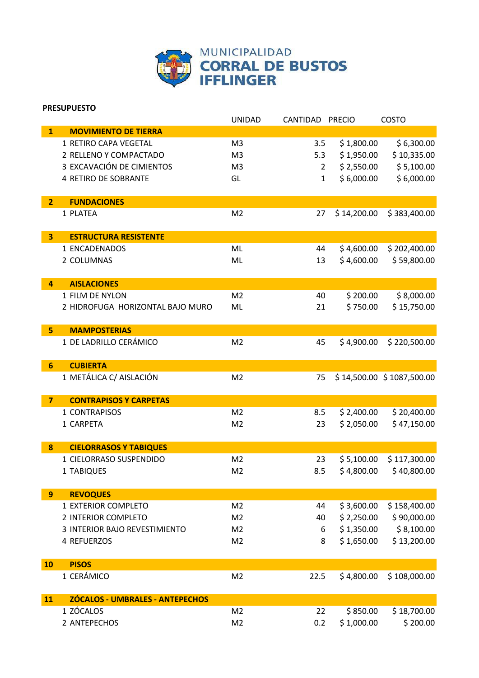

UNIDAD CANTIDAD PRECIO COSTO

## **PRESUPUESTO MOVIMIENTO DE TIERRA**

|                | 1 RETIRO CAPA VEGETAL            | M <sub>3</sub> | 3.5          | \$1,800.00  | \$6,300.00                |
|----------------|----------------------------------|----------------|--------------|-------------|---------------------------|
|                | 2 RELLENO Y COMPACTADO           | M <sub>3</sub> | 5.3          | \$1,950.00  | \$10,335.00               |
|                | 3 EXCAVACIÓN DE CIMIENTOS        | M <sub>3</sub> | 2            | \$2,550.00  | \$5,100.00                |
|                | 4 RETIRO DE SOBRANTE             | GL             | $\mathbf{1}$ | \$6,000.00  | \$6,000.00                |
| 2 <sup>1</sup> | <b>FUNDACIONES</b>               |                |              |             |                           |
|                | 1 PLATEA                         | M <sub>2</sub> | 27           | \$14,200.00 | \$383,400.00              |
| 3 <sup>1</sup> | <b>ESTRUCTURA RESISTENTE</b>     |                |              |             |                           |
|                | 1 ENCADENADOS                    | ML             | 44           | \$4,600.00  | \$202,400.00              |
|                | 2 COLUMNAS                       | ML             | 13           | \$4,600.00  | \$59,800.00               |
| 4              | <b>AISLACIONES</b>               |                |              |             |                           |
|                | 1 FILM DE NYLON                  | M <sub>2</sub> | 40           | \$200.00    | \$8,000.00                |
|                | 2 HIDROFUGA HORIZONTAL BAJO MURO | ML             | 21           | \$750.00    | \$15,750.00               |
| 5              | <b>MAMPOSTERIAS</b>              |                |              |             |                           |
|                | 1 DE LADRILLO CERÁMICO           | M <sub>2</sub> | 45           | \$4,900.00  | \$220,500.00              |
| 6              | <b>CUBIERTA</b>                  |                |              |             |                           |
|                | 1 METÁLICA C/ AISLACIÓN          | M <sub>2</sub> | 75           |             | \$14,500.00 \$1087,500.00 |
| $\overline{7}$ | <b>CONTRAPISOS Y CARPETAS</b>    |                |              |             |                           |
|                | 1 CONTRAPISOS                    | M <sub>2</sub> | 8.5          | \$2,400.00  | \$20,400.00               |
|                | 1 CARPETA                        | M <sub>2</sub> | 23           | \$2,050.00  | \$47,150.00               |
| 8              | <b>CIELORRASOS Y TABIQUES</b>    |                |              |             |                           |
|                | 1 CIELORRASO SUSPENDIDO          | M <sub>2</sub> | 23           | \$5,100.00  | \$117,300.00              |
|                | 1 TABIQUES                       | M <sub>2</sub> | 8.5          | \$4,800.00  | \$40,800.00               |
| 9              | <b>REVOQUES</b>                  |                |              |             |                           |
|                | 1 EXTERIOR COMPLETO              | M <sub>2</sub> | 44           | \$3,600.00  | \$158,400.00              |
|                | 2 INTERIOR COMPLETO              | M <sub>2</sub> | 40           | \$2,250.00  | \$90,000.00               |
|                | 3 INTERIOR BAJO REVESTIMIENTO    | M <sub>2</sub> | 6            | \$1,350.00  | \$8,100.00                |
|                | 4 REFUERZOS                      | M <sub>2</sub> | 8            | \$1,650.00  | \$13,200.00               |
| 10             | <b>PISOS</b>                     |                |              |             |                           |
|                | 1 CERÁMICO                       | M <sub>2</sub> | 22.5         | \$4,800.00  | \$108,000.00              |
| 11             | ZÓCALOS - UMBRALES - ANTEPECHOS  |                |              |             |                           |
|                | 1 ZÓCALOS                        | M <sub>2</sub> | 22           | \$850.00    | \$18,700.00               |
|                | 2 ANTEPECHOS                     | M <sub>2</sub> | 0.2          | \$1,000.00  | \$200.00                  |